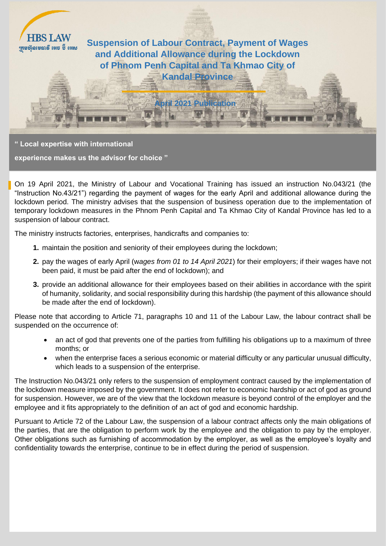

## **" Local expertise with international**

**experience makes us the advisor for choice "**

On 19 April 2021, the Ministry of Labour and Vocational Training has issued an instruction No.043/21 (the "Instruction No.43/21") regarding the payment of wages for the early April and additional allowance during the lockdown period. The ministry advises that the suspension of business operation due to the implementation of temporary lockdown measures in the Phnom Penh Capital and Ta Khmao City of Kandal Province has led to a suspension of labour contract.

The ministry instructs factories, enterprises, handicrafts and companies to:

- **1.** maintain the position and seniority of their employees during the lockdown;
- **2.** pay the wages of early April (w*ages from 01 to 14 April 2021*) for their employers; if their wages have not been paid, it must be paid after the end of lockdown); and
- **3.** provide an additional allowance for their employees based on their abilities in accordance with the spirit of humanity, solidarity, and social responsibility during this hardship (the payment of this allowance should be made after the end of lockdown).

Please note that according to Article 71, paragraphs 10 and 11 of the Labour Law, the labour contract shall be suspended on the occurrence of:

- an act of god that prevents one of the parties from fulfilling his obligations up to a maximum of three months; or
- when the enterprise faces a serious economic or material difficulty or any particular unusual difficulty, which leads to a suspension of the enterprise.

The Instruction No.043/21 only refers to the suspension of employment contract caused by the implementation of the lockdown measure imposed by the government. It does not refer to economic hardship or act of god as ground for suspension. However, we are of the view that the lockdown measure is beyond control of the employer and the employee and it fits appropriately to the definition of an act of god and economic hardship.

Pursuant to Article 72 of the Labour Law, the suspension of a labour contract affects only the main obligations of the parties, that are the obligation to perform work by the employee and the obligation to pay by the employer. Other obligations such as furnishing of accommodation by the employer, as well as the employee's loyalty and confidentiality towards the enterprise, continue to be in effect during the period of suspension.